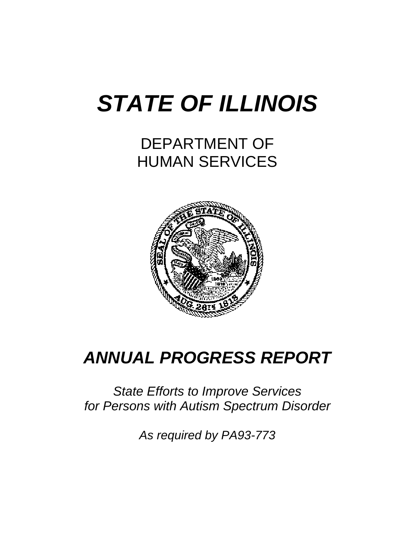# *STATE OF ILLINOIS*

# DEPARTMENT OF HUMAN SERVICES



# *ANNUAL PROGRESS REPORT*

# *State Efforts to Improve Services for Persons with Autism Spectrum Disorder*

*As required by PA93-773*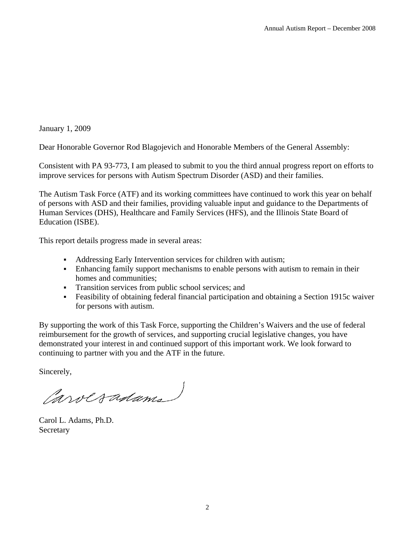January 1, 2009

Dear Honorable Governor Rod Blagojevich and Honorable Members of the General Assembly:

Consistent with PA 93-773, I am pleased to submit to you the third annual progress report on efforts to improve services for persons with Autism Spectrum Disorder (ASD) and their families.

The Autism Task Force (ATF) and its working committees have continued to work this year on behalf of persons with ASD and their families, providing valuable input and guidance to the Departments of Human Services (DHS), Healthcare and Family Services (HFS), and the Illinois State Board of Education (ISBE).

This report details progress made in several areas:

- Addressing Early Intervention services for children with autism;
- Enhancing family support mechanisms to enable persons with autism to remain in their homes and communities;
- **Transition services from public school services; and**
- Feasibility of obtaining federal financial participation and obtaining a Section 1915c waiver for persons with autism.

By supporting the work of this Task Force, supporting the Children's Waivers and the use of federal reimbursement for the growth of services, and supporting crucial legislative changes, you have demonstrated your interest in and continued support of this important work. We look forward to continuing to partner with you and the ATF in the future.

Sincerely,

Caroloradams

Carol L. Adams, Ph.D. Secretary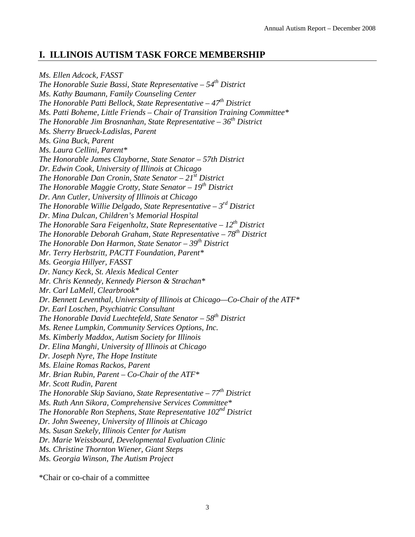#### **I. ILLINOIS AUTISM TASK FORCE MEMBERSHIP**

*Ms. Ellen Adcock, FASST The Honorable Suzie Bassi, State Representative – 54th District Ms. Kathy Baumann, Family Counseling Center The Honorable Patti Bellock, State Representative – 47th District Ms. Patti Boheme, Little Friends – Chair of Transition Training Committee\* The Honorable Jim Brosnanhan, State Representative – 36th District Ms. Sherry Brueck-Ladislas, Parent Ms. Gina Buck, Parent Ms. Laura Cellini, Parent\* The Honorable James Clayborne, State Senator – 57th District Dr. Edwin Cook, University of Illinois at Chicago The Honorable Dan Cronin, State Senator – 21st District The Honorable Maggie Crotty, State Senator – 19th District Dr. Ann Cutler, University of Illinois at Chicago The Honorable Willie Delgado, State Representative – 3rd District Dr. Mina Dulcan, Children's Memorial Hospital The Honorable Sara Feigenholtz, State Representative –*  $12<sup>th</sup>$  *District The Honorable Deborah Graham, State Representative – 78<sup>th</sup> District The Honorable Don Harmon, State Senator – 39th District Mr. Terry Herbstritt, PACTT Foundation, Parent\* Ms. Georgia Hillyer, FASST Dr. Nancy Keck, St. Alexis Medical Center Mr. Chris Kennedy, Kennedy Pierson & Strachan\* Mr. Carl LaMell, Clearbrook\* Dr. Bennett Leventhal, University of Illinois at Chicago—Co-Chair of the ATF\* Dr. Earl Loschen, Psychiatric Consultant The Honorable David Luechtefeld, State Senator - 58<sup>th</sup> District Ms. Renee Lumpkin, Community Services Options, Inc. Ms. Kimberly Maddox, Autism Society for Illinois Dr. Elina Manghi, University of Illinois at Chicago Dr. Joseph Nyre, The Hope Institute Ms. Elaine Romas Rackos, Parent Mr. Brian Rubin, Parent – Co-Chair of the ATF\* Mr. Scott Rudin, Parent The Honorable Skip Saviano, State Representative – 77th District Ms. Ruth Ann Sikora, Comprehensive Services Committee\* The Honorable Ron Stephens, State Representative 102nd District Dr. John Sweeney, University of Illinois at Chicago Ms. Susan Szekely, Illinois Center for Autism Dr. Marie Weissbourd, Developmental Evaluation Clinic Ms. Christine Thornton Wiener, Giant Steps Ms. Georgia Winson, The Autism Project* 

\*Chair or co-chair of a committee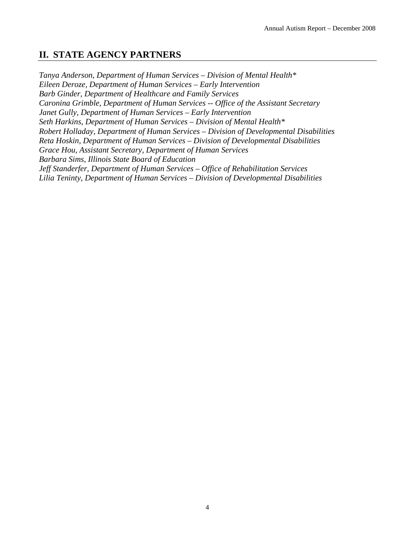# **II. STATE AGENCY PARTNERS**

*Tanya Anderson, Department of Human Services – Division of Mental Health\* Eileen Deroze, Department of Human Services – Early Intervention Barb Ginder, Department of Healthcare and Family Services Caronina Grimble, Department of Human Services -- Office of the Assistant Secretary Janet Gully, Department of Human Services – Early Intervention Seth Harkins, Department of Human Services – Division of Mental Health\* Robert Holladay, Department of Human Services – Division of Developmental Disabilities Reta Hoskin, Department of Human Services – Division of Developmental Disabilities Grace Hou, Assistant Secretary, Department of Human Services Barbara Sims, Illinois State Board of Education Jeff Standerfer, Department of Human Services – Office of Rehabilitation Services Lilia Teninty, Department of Human Services – Division of Developmental Disabilities*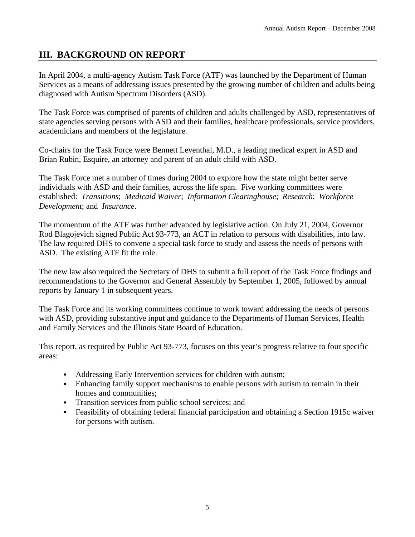### **III. BACKGROUND ON REPORT**

In April 2004, a multi-agency Autism Task Force (ATF) was launched by the Department of Human Services as a means of addressing issues presented by the growing number of children and adults being diagnosed with Autism Spectrum Disorders (ASD).

The Task Force was comprised of parents of children and adults challenged by ASD, representatives of state agencies serving persons with ASD and their families, healthcare professionals, service providers, academicians and members of the legislature.

Co-chairs for the Task Force were Bennett Leventhal, M.D., a leading medical expert in ASD and Brian Rubin, Esquire, an attorney and parent of an adult child with ASD.

The Task Force met a number of times during 2004 to explore how the state might better serve individuals with ASD and their families, across the life span. Five working committees were established: *Transitions*; *Medicaid Waiver*; *Information Clearinghouse*; *Research*; *Workforce Development*; and *Insurance*.

The momentum of the ATF was further advanced by legislative action. On July 21, 2004, Governor Rod Blagojevich signed Public Act 93-773, an ACT in relation to persons with disabilities, into law. The law required DHS to convene a special task force to study and assess the needs of persons with ASD. The existing ATF fit the role.

The new law also required the Secretary of DHS to submit a full report of the Task Force findings and recommendations to the Governor and General Assembly by September 1, 2005, followed by annual reports by January 1 in subsequent years.

The Task Force and its working committees continue to work toward addressing the needs of persons with ASD, providing substantive input and guidance to the Departments of Human Services, Health and Family Services and the Illinois State Board of Education.

This report, as required by Public Act 93-773, focuses on this year's progress relative to four specific areas:

- Addressing Early Intervention services for children with autism;
- Enhancing family support mechanisms to enable persons with autism to remain in their homes and communities;
- Transition services from public school services; and
- Feasibility of obtaining federal financial participation and obtaining a Section 1915c waiver for persons with autism.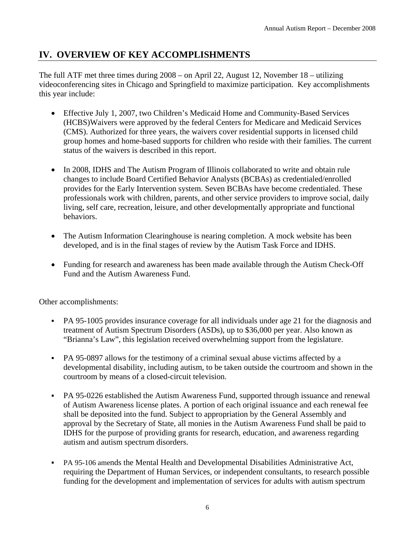# **IV. OVERVIEW OF KEY ACCOMPLISHMENTS**

The full ATF met three times during 2008 – on April 22, August 12, November 18 – utilizing videoconferencing sites in Chicago and Springfield to maximize participation. Key accomplishments this year include:

- Effective July 1, 2007, two Children's Medicaid Home and Community-Based Services (HCBS)Waivers were approved by the federal Centers for Medicare and Medicaid Services (CMS). Authorized for three years, the waivers cover residential supports in licensed child group homes and home-based supports for children who reside with their families. The current status of the waivers is described in this report.
- In 2008, IDHS and The Autism Program of Illinois collaborated to write and obtain rule changes to include Board Certified Behavior Analysts (BCBAs) as credentialed/enrolled provides for the Early Intervention system. Seven BCBAs have become credentialed. These professionals work with children, parents, and other service providers to improve social, daily living, self care, recreation, leisure, and other developmentally appropriate and functional behaviors.
- The Autism Information Clearinghouse is nearing completion. A mock website has been developed, and is in the final stages of review by the Autism Task Force and IDHS.
- Funding for research and awareness has been made available through the Autism Check-Off Fund and the Autism Awareness Fund.

Other accomplishments:

- PA 95-1005 provides insurance coverage for all individuals under age 21 for the diagnosis and treatment of Autism Spectrum Disorders (ASDs), up to \$36,000 per year. Also known as "Brianna's Law", this legislation received overwhelming support from the legislature.
- PA 95-0897 allows for the testimony of a criminal sexual abuse victims affected by a developmental disability, including autism, to be taken outside the courtroom and shown in the courtroom by means of a closed-circuit television.
- PA 95-0226 established the Autism Awareness Fund, supported through issuance and renewal of Autism Awareness license plates. A portion of each original issuance and each renewal fee shall be deposited into the fund. Subject to appropriation by the General Assembly and approval by the Secretary of State, all monies in the Autism Awareness Fund shall be paid to IDHS for the purpose of providing grants for research, education, and awareness regarding autism and autism spectrum disorders.
- PA 95-106 amends the Mental Health and Developmental Disabilities Administrative Act, requiring the Department of Human Services, or independent consultants, to research possible funding for the development and implementation of services for adults with autism spectrum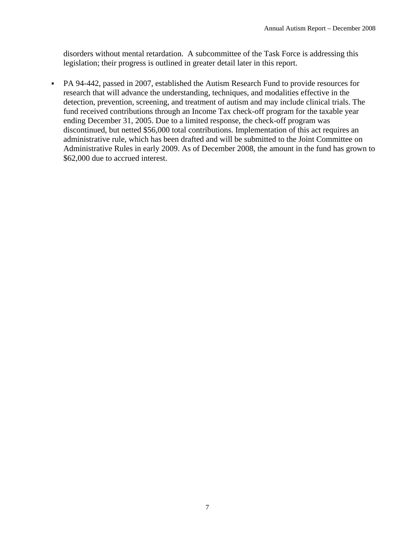disorders without mental retardation. A subcommittee of the Task Force is addressing this legislation; their progress is outlined in greater detail later in this report.

 PA 94-442, passed in 2007, established the Autism Research Fund to provide resources for research that will advance the understanding, techniques, and modalities effective in the detection, prevention, screening, and treatment of autism and may include clinical trials. The fund received contributions through an Income Tax check-off program for the taxable year ending December 31, 2005. Due to a limited response, the check-off program was discontinued, but netted \$56,000 total contributions. Implementation of this act requires an administrative rule, which has been drafted and will be submitted to the Joint Committee on Administrative Rules in early 2009. As of December 2008, the amount in the fund has grown to \$62,000 due to accrued interest.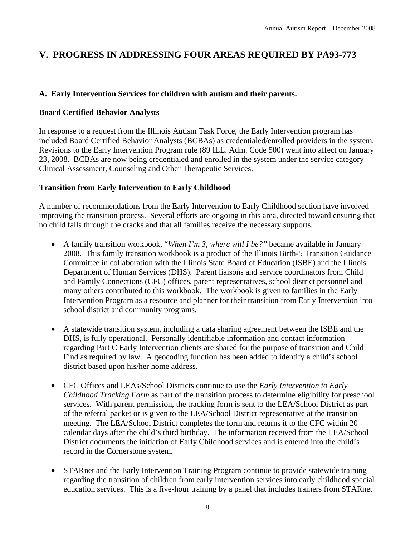# **V. PROGRESS IN ADDRESSING FOUR AREAS REQUIRED BY PA93-773**

#### **A. Early Intervention Services for children with autism and their parents.**

#### **Board Certified Behavior Analysts**

In response to a request from the Illinois Autism Task Force, the Early Intervention program has included Board Certified Behavior Analysts (BCBAs) as credentialed/enrolled providers in the system. Revisions to the Early Intervention Program rule (89 ILL. Adm. Code 500) went into affect on January 23, 2008. BCBAs are now being credentialed and enrolled in the system under the service category Clinical Assessment, Counseling and Other Therapeutic Services.

#### **Transition from Early Intervention to Early Childhood**

A number of recommendations from the Early Intervention to Early Childhood section have involved improving the transition process. Several efforts are ongoing in this area, directed toward ensuring that no child falls through the cracks and that all families receive the necessary supports.

- A family transition workbook, "*When I'm 3, where will I be?"* became available in January 2008. This family transition workbook is a product of the Illinois Birth-5 Transition Guidance Committee in collaboration with the Illinois State Board of Education (ISBE) and the Illinois Department of Human Services (DHS). Parent liaisons and service coordinators from Child and Family Connections (CFC) offices, parent representatives, school district personnel and many others contributed to this workbook. The workbook is given to families in the Early Intervention Program as a resource and planner for their transition from Early Intervention into school district and community programs.
- A statewide transition system, including a data sharing agreement between the ISBE and the DHS, is fully operational. Personally identifiable information and contact information regarding Part C Early Intervention clients are shared for the purpose of transition and Child Find as required by law. A geocoding function has been added to identify a child's school district based upon his/her home address.
- CFC Offices and LEAs/School Districts continue to use the *Early Intervention to Early Childhood Tracking Form* as part of the transition process to determine eligibility for preschool services. With parent permission, the tracking form is sent to the LEA/School District as part of the referral packet or is given to the LEA/School District representative at the transition meeting. The LEA/School District completes the form and returns it to the CFC within 20 calendar days after the child's third birthday. The information received from the LEA/School District documents the initiation of Early Childhood services and is entered into the child's record in the Cornerstone system.
- STARnet and the Early Intervention Training Program continue to provide statewide training regarding the transition of children from early intervention services into early childhood special education services. This is a five-hour training by a panel that includes trainers from STARnet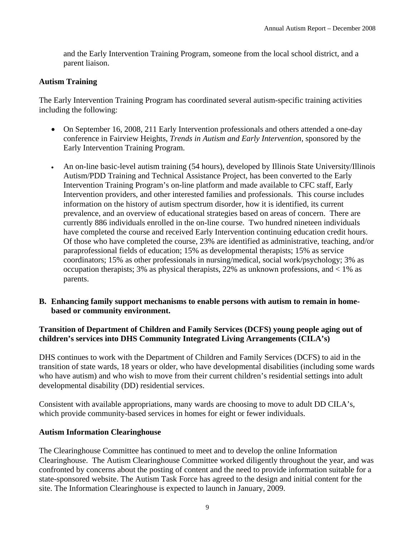and the Early Intervention Training Program, someone from the local school district, and a parent liaison.

#### **Autism Training**

The Early Intervention Training Program has coordinated several autism-specific training activities including the following:

- On September 16, 2008, 211 Early Intervention professionals and others attended a one-day conference in Fairview Heights, *Trends in Autism and Early Intervention*, sponsored by the Early Intervention Training Program.
- An on-line basic-level autism training (54 hours), developed by Illinois State University/Illinois Autism/PDD Training and Technical Assistance Project, has been converted to the Early Intervention Training Program's on-line platform and made available to CFC staff, Early Intervention providers, and other interested families and professionals. This course includes information on the history of autism spectrum disorder, how it is identified, its current prevalence, and an overview of educational strategies based on areas of concern. There are currently 886 individuals enrolled in the on-line course. Two hundred nineteen individuals have completed the course and received Early Intervention continuing education credit hours. Of those who have completed the course, 23% are identified as administrative, teaching, and/or paraprofessional fields of education; 15% as developmental therapists; 15% as service coordinators; 15% as other professionals in nursing/medical, social work/psychology; 3% as occupation therapists; 3% as physical therapists, 22% as unknown professions, and < 1% as parents.

#### **B. Enhancing family support mechanisms to enable persons with autism to remain in homebased or community environment.**

#### **Transition of Department of Children and Family Services (DCFS) young people aging out of children's services into DHS Community Integrated Living Arrangements (CILA's)**

DHS continues to work with the Department of Children and Family Services (DCFS) to aid in the transition of state wards, 18 years or older, who have developmental disabilities (including some wards who have autism) and who wish to move from their current children's residential settings into adult developmental disability (DD) residential services.

Consistent with available appropriations, many wards are choosing to move to adult DD CILA's, which provide community-based services in homes for eight or fewer individuals.

#### **Autism Information Clearinghouse**

The Clearinghouse Committee has continued to meet and to develop the online Information Clearinghouse. The Autism Clearinghouse Committee worked diligently throughout the year, and was confronted by concerns about the posting of content and the need to provide information suitable for a state-sponsored website. The Autism Task Force has agreed to the design and initial content for the site. The Information Clearinghouse is expected to launch in January, 2009.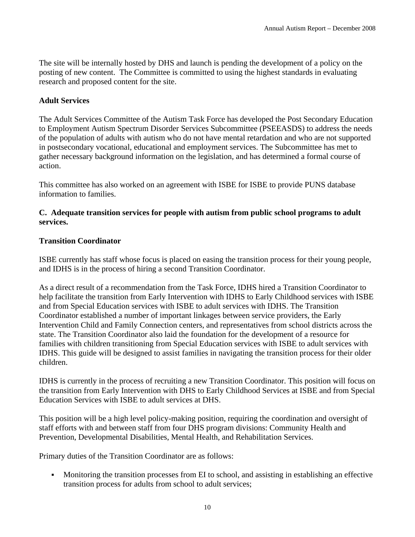The site will be internally hosted by DHS and launch is pending the development of a policy on the posting of new content. The Committee is committed to using the highest standards in evaluating research and proposed content for the site.

#### **Adult Services**

The Adult Services Committee of the Autism Task Force has developed the Post Secondary Education to Employment Autism Spectrum Disorder Services Subcommittee (PSEEASDS) to address the needs of the population of adults with autism who do not have mental retardation and who are not supported in postsecondary vocational, educational and employment services. The Subcommittee has met to gather necessary background information on the legislation, and has determined a formal course of action.

This committee has also worked on an agreement with ISBE for ISBE to provide PUNS database information to families.

#### **C. Adequate transition services for people with autism from public school programs to adult services.**

#### **Transition Coordinator**

ISBE currently has staff whose focus is placed on easing the transition process for their young people, and IDHS is in the process of hiring a second Transition Coordinator.

As a direct result of a recommendation from the Task Force, IDHS hired a Transition Coordinator to help facilitate the transition from Early Intervention with IDHS to Early Childhood services with ISBE and from Special Education services with ISBE to adult services with IDHS. The Transition Coordinator established a number of important linkages between service providers, the Early Intervention Child and Family Connection centers, and representatives from school districts across the state. The Transition Coordinator also laid the foundation for the development of a resource for families with children transitioning from Special Education services with ISBE to adult services with IDHS. This guide will be designed to assist families in navigating the transition process for their older children.

IDHS is currently in the process of recruiting a new Transition Coordinator. This position will focus on the transition from Early Intervention with DHS to Early Childhood Services at ISBE and from Special Education Services with ISBE to adult services at DHS.

This position will be a high level policy-making position, requiring the coordination and oversight of staff efforts with and between staff from four DHS program divisions: Community Health and Prevention, Developmental Disabilities, Mental Health, and Rehabilitation Services.

Primary duties of the Transition Coordinator are as follows:

 Monitoring the transition processes from EI to school, and assisting in establishing an effective transition process for adults from school to adult services;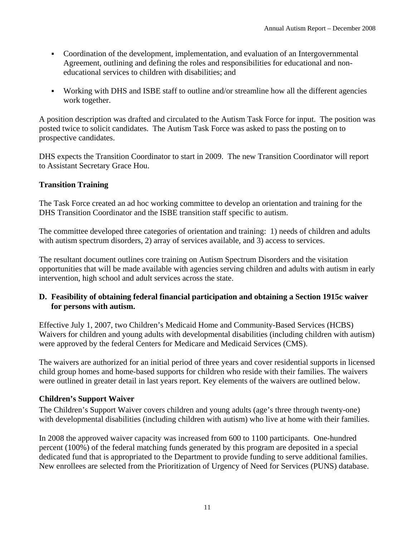- Coordination of the development, implementation, and evaluation of an Intergovernmental Agreement, outlining and defining the roles and responsibilities for educational and noneducational services to children with disabilities; and
- Working with DHS and ISBE staff to outline and/or streamline how all the different agencies work together.

A position description was drafted and circulated to the Autism Task Force for input. The position was posted twice to solicit candidates. The Autism Task Force was asked to pass the posting on to prospective candidates.

DHS expects the Transition Coordinator to start in 2009. The new Transition Coordinator will report to Assistant Secretary Grace Hou.

#### **Transition Training**

The Task Force created an ad hoc working committee to develop an orientation and training for the DHS Transition Coordinator and the ISBE transition staff specific to autism.

The committee developed three categories of orientation and training: 1) needs of children and adults with autism spectrum disorders, 2) array of services available, and 3) access to services.

The resultant document outlines core training on Autism Spectrum Disorders and the visitation opportunities that will be made available with agencies serving children and adults with autism in early intervention, high school and adult services across the state.

#### **D. Feasibility of obtaining federal financial participation and obtaining a Section 1915c waiver for persons with autism.**

Effective July 1, 2007, two Children's Medicaid Home and Community-Based Services (HCBS) Waivers for children and young adults with developmental disabilities (including children with autism) were approved by the federal Centers for Medicare and Medicaid Services (CMS).

The waivers are authorized for an initial period of three years and cover residential supports in licensed child group homes and home-based supports for children who reside with their families. The waivers were outlined in greater detail in last years report. Key elements of the waivers are outlined below.

#### **Children's Support Waiver**

The Children's Support Waiver covers children and young adults (age's three through twenty-one) with developmental disabilities (including children with autism) who live at home with their families.

In 2008 the approved waiver capacity was increased from 600 to 1100 participants. One-hundred percent (100%) of the federal matching funds generated by this program are deposited in a special dedicated fund that is appropriated to the Department to provide funding to serve additional families. New enrollees are selected from the Prioritization of Urgency of Need for Services (PUNS) database.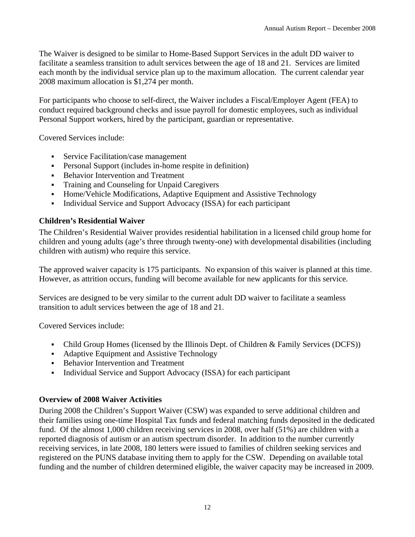The Waiver is designed to be similar to Home-Based Support Services in the adult DD waiver to facilitate a seamless transition to adult services between the age of 18 and 21. Services are limited each month by the individual service plan up to the maximum allocation. The current calendar year 2008 maximum allocation is \$1,274 per month.

For participants who choose to self-direct, the Waiver includes a Fiscal/Employer Agent (FEA) to conduct required background checks and issue payroll for domestic employees, such as individual Personal Support workers, hired by the participant, guardian or representative.

Covered Services include:

- **Service Facilitation/case management**
- Personal Support (includes in-home respite in definition)
- Behavior Intervention and Treatment
- Training and Counseling for Unpaid Caregivers
- Home/Vehicle Modifications, Adaptive Equipment and Assistive Technology
- Individual Service and Support Advocacy (ISSA) for each participant

#### **Children's Residential Waiver**

The Children's Residential Waiver provides residential habilitation in a licensed child group home for children and young adults (age's three through twenty-one) with developmental disabilities (including children with autism) who require this service.

The approved waiver capacity is 175 participants. No expansion of this waiver is planned at this time. However, as attrition occurs, funding will become available for new applicants for this service.

Services are designed to be very similar to the current adult DD waiver to facilitate a seamless transition to adult services between the age of 18 and 21.

Covered Services include:

- Child Group Homes (licensed by the Illinois Dept. of Children & Family Services (DCFS))
- Adaptive Equipment and Assistive Technology
- Behavior Intervention and Treatment
- Individual Service and Support Advocacy (ISSA) for each participant

#### **Overview of 2008 Waiver Activities**

During 2008 the Children's Support Waiver (CSW) was expanded to serve additional children and their families using one-time Hospital Tax funds and federal matching funds deposited in the dedicated fund. Of the almost 1,000 children receiving services in 2008, over half (51%) are children with a reported diagnosis of autism or an autism spectrum disorder. In addition to the number currently receiving services, in late 2008, 180 letters were issued to families of children seeking services and registered on the PUNS database inviting them to apply for the CSW. Depending on available total funding and the number of children determined eligible, the waiver capacity may be increased in 2009.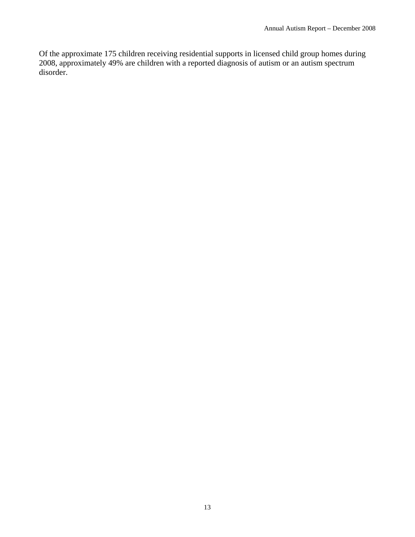Of the approximate 175 children receiving residential supports in licensed child group homes during 2008, approximately 49% are children with a reported diagnosis of autism or an autism spectrum disorder.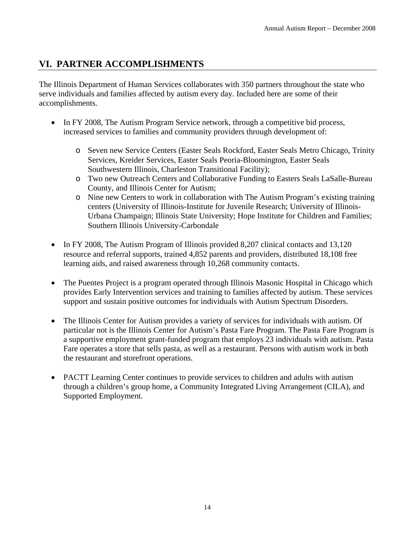# **VI. PARTNER ACCOMPLISHMENTS**

The Illinois Department of Human Services collaborates with 350 partners throughout the state who serve individuals and families affected by autism every day. Included here are some of their accomplishments.

- In FY 2008, The Autism Program Service network, through a competitive bid process, increased services to families and community providers through development of:
	- o Seven new Service Centers (Easter Seals Rockford, Easter Seals Metro Chicago, Trinity Services, Kreider Services, Easter Seals Peoria-Bloomington, Easter Seals Southwestern Illinois, Charleston Transitional Facility);
	- o Two new Outreach Centers and Collaborative Funding to Easters Seals LaSalle-Bureau County, and Illinois Center for Autism;
	- o Nine new Centers to work in collaboration with The Autism Program's existing training centers (University of Illinois-Institute for Juvenile Research; University of Illinois-Urbana Champaign; Illinois State University; Hope Institute for Children and Families; Southern Illinois University-Carbondale
- In FY 2008, The Autism Program of Illinois provided 8,207 clinical contacts and 13,120 resource and referral supports, trained 4,852 parents and providers, distributed 18,108 free learning aids, and raised awareness through 10,268 community contacts.
- The Puentes Project is a program operated through Illinois Masonic Hospital in Chicago which provides Early Intervention services and training to families affected by autism. These services support and sustain positive outcomes for individuals with Autism Spectrum Disorders.
- The Illinois Center for Autism provides a variety of services for individuals with autism. Of particular not is the Illinois Center for Autism's Pasta Fare Program. The Pasta Fare Program is a supportive employment grant-funded program that employs 23 individuals with autism. Pasta Fare operates a store that sells pasta, as well as a restaurant. Persons with autism work in both the restaurant and storefront operations.
- PACTT Learning Center continues to provide services to children and adults with autism through a children's group home, a Community Integrated Living Arrangement (CILA), and Supported Employment.